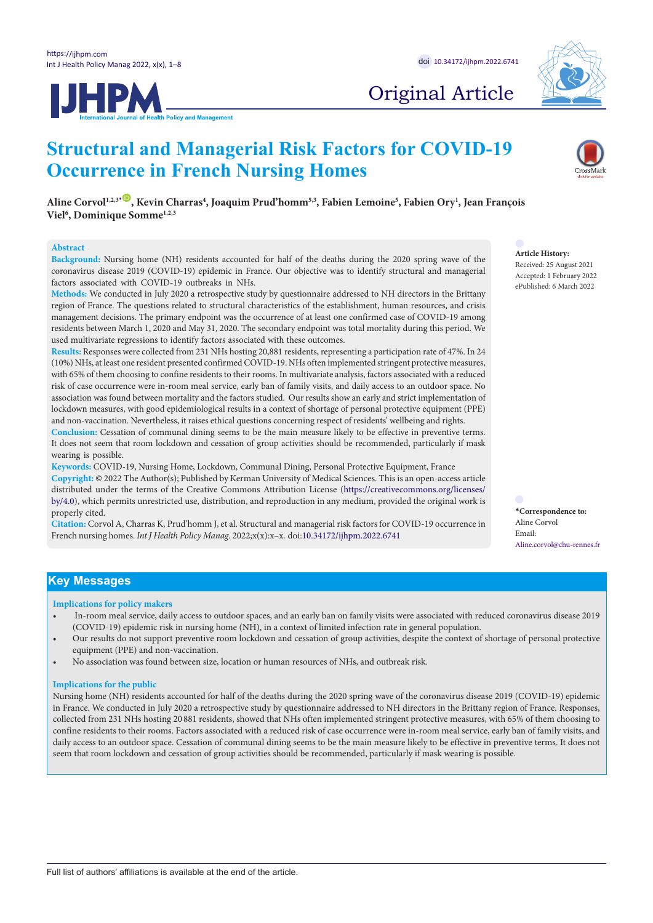

# Original Article

# **JHPM**

# **Structural and Managerial Risk Factors for COVID-19 Occurrence in French Nursing Homes**

**Aline Corvol1,2,3[\\*](#page-0-0)** [ID](https://orcid.org/0000-0002-2318-6878) **, Kevin Charras4 , Joaquim Prud'homm5,3, Fabien Lemoine5 , Fabien Ory1 , Jean François Viel6 , Dominique Somme1,2,3**

#### **Abstract**

**Background:** Nursing home (NH) residents accounted for half of the deaths during the 2020 spring wave of the coronavirus disease 2019 (COVID-19) epidemic in France. Our objective was to identify structural and managerial factors associated with COVID-19 outbreaks in NHs.

**Methods:** We conducted in July 2020 a retrospective study by questionnaire addressed to NH directors in the Brittany region of France. The questions related to structural characteristics of the establishment, human resources, and crisis management decisions. The primary endpoint was the occurrence of at least one confirmed case of COVID-19 among residents between March 1, 2020 and May 31, 2020. The secondary endpoint was total mortality during this period. We used multivariate regressions to identify factors associated with these outcomes.

**Results:** Responses were collected from 231 NHs hosting 20,881 residents, representing a participation rate of 47%. In 24 (10%) NHs, at least one resident presented confirmed COVID-19. NHs often implemented stringent protective measures, with 65% of them choosing to confine residents to their rooms. In multivariate analysis, factors associated with a reduced risk of case occurrence were in-room meal service, early ban of family visits, and daily access to an outdoor space. No association was found between mortality and the factors studied. Our results show an early and strict implementation of lockdown measures, with good epidemiological results in a context of shortage of personal protective equipment (PPE) and non-vaccination. Nevertheless, it raises ethical questions concerning respect of residents' wellbeing and rights.

**Conclusion:** Cessation of communal dining seems to be the main measure likely to be effective in preventive terms. It does not seem that room lockdown and cessation of group activities should be recommended, particularly if mask wearing is possible.

**Keywords:** COVID-19, Nursing Home, Lockdown, Communal Dining, Personal Protective Equipment, France **Copyright:** © 2022 The Author(s); Published by Kerman University of Medical Sciences. This is an open-access article distributed under the terms of the Creative Commons Attribution License [\(https://creativecommons.org/licenses/](https://creativecommons.org/licenses/by/4.0/) [by/4.0\)](https://creativecommons.org/licenses/by/4.0/), which permits unrestricted use, distribution, and reproduction in any medium, provided the original work is properly cited.

**Citation:** Corvol A, Charras K, Prud'homm J, et al. Structural and managerial risk factors for COVID-19 occurrence in French nursing homes. *Int J Health Policy Manag.* 2022;x(x):x–x. doi[:10.34172/ijhpm.2022.6741](https://doi.org/10.34172/ijhpm.2022.6741)

**Article History:**

Received: 25 August 2021 Accepted: 1 February 2022 ePublished: 6 March 2022

<span id="page-0-0"></span>**\*Correspondence to:** Aline Corvol Email: Aline.corvol@chu-rennes.fr

# **Key Messages**

**Implications for policy makers**

- In-room meal service, daily access to outdoor spaces, and an early ban on family visits were associated with reduced coronavirus disease 2019 (COVID-19) epidemic risk in nursing home (NH), in a context of limited infection rate in general population.
- Our results do not support preventive room lockdown and cessation of group activities, despite the context of shortage of personal protective equipment (PPE) and non-vaccination.
- No association was found between size, location or human resources of NHs, and outbreak risk.

#### **Implications for the public**

Nursing home (NH) residents accounted for half of the deaths during the 2020 spring wave of the coronavirus disease 2019 (COVID-19) epidemic in France. We conducted in July 2020 a retrospective study by questionnaire addressed to NH directors in the Brittany region of France. Responses, collected from 231 NHs hosting 20 881 residents, showed that NHs often implemented stringent protective measures, with 65% of them choosing to confine residents to their rooms. Factors associated with a reduced risk of case occurrence were in-room meal service, early ban of family visits, and daily access to an outdoor space. Cessation of communal dining seems to be the main measure likely to be effective in preventive terms. It does not seem that room lockdown and cessation of group activities should be recommended, particularly if mask wearing is possible.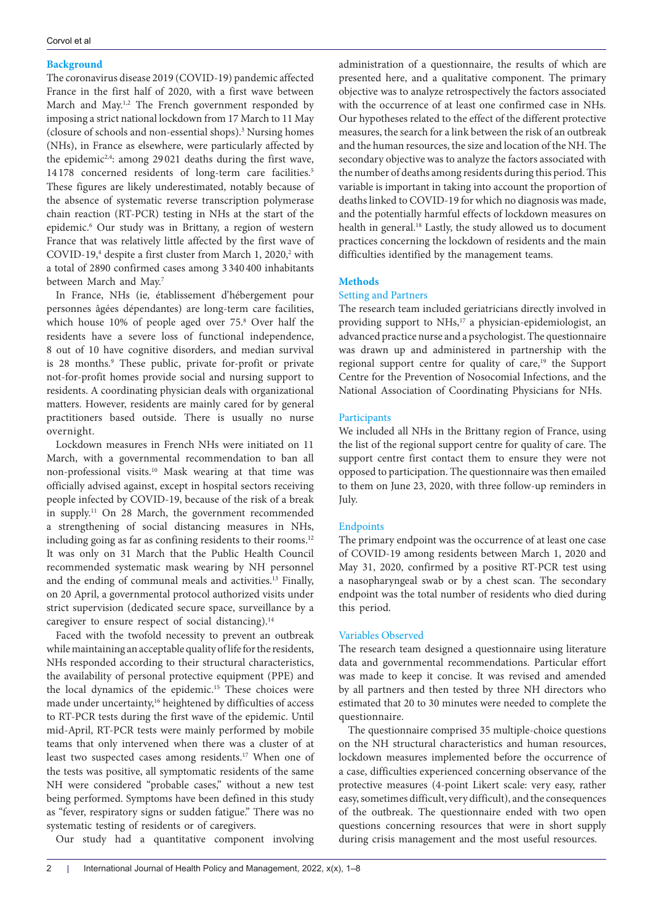## **Background**

The coronavirus disease 2019 (COVID-19) pandemic affected France in the first half of 2020, with a first wave between March and May.<sup>1,2</sup> The French government responded by imposing a strict national lockdown from 17 March to 11 May (closure of schools and non-essential shops).3 Nursing homes (NHs), in France as elsewhere, were particularly affected by the epidemic2,4: among 29 021 deaths during the first wave, 14 178 concerned residents of long-term care facilities.<sup>5</sup> These figures are likely underestimated, notably because of the absence of systematic reverse transcription polymerase chain reaction (RT-PCR) testing in NHs at the start of the epidemic.6 Our study was in Brittany, a region of western France that was relatively little affected by the first wave of COVID-19,<sup>4</sup> despite a first cluster from March 1, 2020,<sup>2</sup> with a total of 2890 confirmed cases among 3 340 400 inhabitants between March and May.7

In France, NHs (ie, établissement d'hébergement pour personnes âgées dépendantes) are long-term care facilities, which house 10% of people aged over 75.8 Over half the residents have a severe loss of functional independence, 8 out of 10 have cognitive disorders, and median survival is 28 months.<sup>9</sup> These public, private for-profit or private not-for-profit homes provide social and nursing support to residents. A coordinating physician deals with organizational matters. However, residents are mainly cared for by general practitioners based outside. There is usually no nurse overnight.

Lockdown measures in French NHs were initiated on 11 March, with a governmental recommendation to ban all non-professional visits.10 Mask wearing at that time was officially advised against, except in hospital sectors receiving people infected by COVID-19, because of the risk of a break in supply.11 On 28 March, the government recommended a strengthening of social distancing measures in NHs, including going as far as confining residents to their rooms.<sup>12</sup> It was only on 31 March that the Public Health Council recommended systematic mask wearing by NH personnel and the ending of communal meals and activities.13 Finally, on 20 April, a governmental protocol authorized visits under strict supervision (dedicated secure space, surveillance by a caregiver to ensure respect of social distancing).<sup>14</sup>

Faced with the twofold necessity to prevent an outbreak while maintaining an acceptable quality of life for the residents, NHs responded according to their structural characteristics, the availability of personal protective equipment (PPE) and the local dynamics of the epidemic.<sup>15</sup> These choices were made under uncertainty,<sup>16</sup> heightened by difficulties of access to RT-PCR tests during the first wave of the epidemic. Until mid-April, RT-PCR tests were mainly performed by mobile teams that only intervened when there was a cluster of at least two suspected cases among residents.17 When one of the tests was positive, all symptomatic residents of the same NH were considered "probable cases," without a new test being performed. Symptoms have been defined in this study as "fever, respiratory signs or sudden fatigue." There was no systematic testing of residents or of caregivers.

Our study had a quantitative component involving

administration of a questionnaire, the results of which are presented here, and a qualitative component. The primary objective was to analyze retrospectively the factors associated with the occurrence of at least one confirmed case in NHs. Our hypotheses related to the effect of the different protective measures, the search for a link between the risk of an outbreak and the human resources, the size and location of the NH. The secondary objective was to analyze the factors associated with the number of deaths among residents during this period. This variable is important in taking into account the proportion of deaths linked to COVID-19 for which no diagnosis was made, and the potentially harmful effects of lockdown measures on health in general.<sup>18</sup> Lastly, the study allowed us to document practices concerning the lockdown of residents and the main difficulties identified by the management teams.

# **Methods**

# Setting and Partners

The research team included geriatricians directly involved in providing support to NHs,<sup>17</sup> a physician-epidemiologist, an advanced practice nurse and a psychologist. The questionnaire was drawn up and administered in partnership with the regional support centre for quality of care,<sup>19</sup> the Support Centre for the Prevention of Nosocomial Infections, and the National Association of Coordinating Physicians for NHs.

#### **Participants**

We included all NHs in the Brittany region of France, using the list of the regional support centre for quality of care. The support centre first contact them to ensure they were not opposed to participation. The questionnaire was then emailed to them on June 23, 2020, with three follow-up reminders in July.

# Endpoints

The primary endpoint was the occurrence of at least one case of COVID-19 among residents between March 1, 2020 and May 31, 2020, confirmed by a positive RT-PCR test using a nasopharyngeal swab or by a chest scan. The secondary endpoint was the total number of residents who died during this period.

#### Variables Observed

The research team designed a questionnaire using literature data and governmental recommendations. Particular effort was made to keep it concise. It was revised and amended by all partners and then tested by three NH directors who estimated that 20 to 30 minutes were needed to complete the questionnaire.

The questionnaire comprised 35 multiple-choice questions on the NH structural characteristics and human resources, lockdown measures implemented before the occurrence of a case, difficulties experienced concerning observance of the protective measures (4-point Likert scale: very easy, rather easy, sometimes difficult, very difficult), and the consequences of the outbreak. The questionnaire ended with two open questions concerning resources that were in short supply during crisis management and the most useful resources.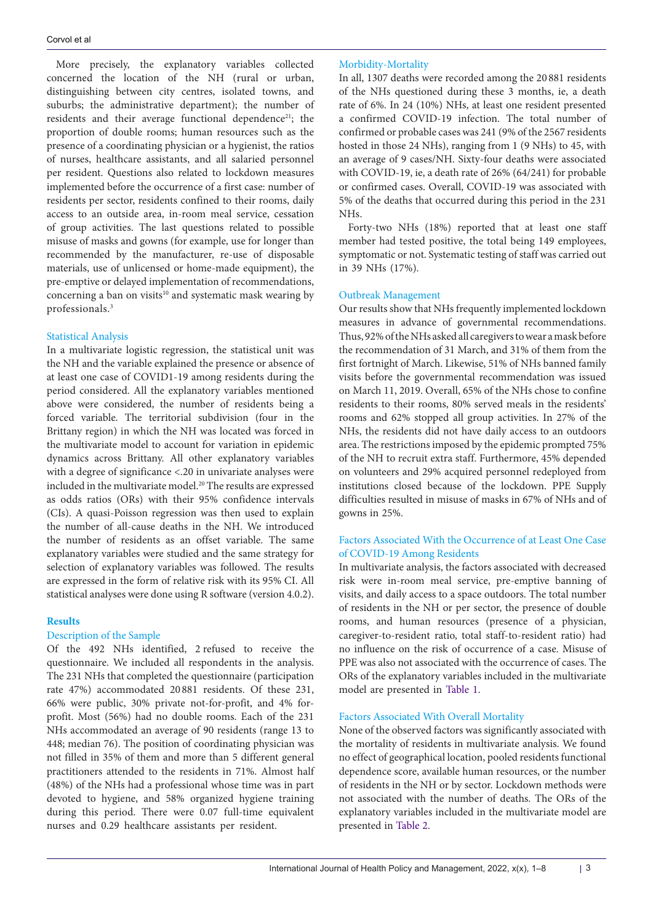More precisely, the explanatory variables collected concerned the location of the NH (rural or urban, distinguishing between city centres, isolated towns, and suburbs; the administrative department); the number of residents and their average functional dependence<sup>21</sup>; the proportion of double rooms; human resources such as the presence of a coordinating physician or a hygienist, the ratios of nurses, healthcare assistants, and all salaried personnel per resident. Questions also related to lockdown measures implemented before the occurrence of a first case: number of residents per sector, residents confined to their rooms, daily access to an outside area, in-room meal service, cessation of group activities. The last questions related to possible misuse of masks and gowns (for example, use for longer than recommended by the manufacturer, re-use of disposable materials, use of unlicensed or home-made equipment), the pre-emptive or delayed implementation of recommendations, concerning a ban on visits<sup>10</sup> and systematic mask wearing by professionals. 3

#### Statistical Analysis

In a multivariate logistic regression, the statistical unit was the NH and the variable explained the presence or absence of at least one case of COVID1-19 among residents during the period considered. All the explanatory variables mentioned above were considered, the number of residents being a forced variable. The territorial subdivision (four in the Brittany region) in which the NH was located was forced in the multivariate model to account for variation in epidemic dynamics across Brittany. All other explanatory variables with a degree of significance <.20 in univariate analyses were included in the multivariate model. <sup>20</sup> The results are expressed as odds ratios (ORs) with their 95% confidence intervals (CIs). A quasi-Poisson regression was then used to explain the number of all-cause deaths in the NH. We introduced the number of residents as an offset variable. The same explanatory variables were studied and the same strategy for selection of explanatory variables was followed. The results are expressed in the form of relative risk with its 95% CI. All statistical analyses were done using R software (version 4.0.2).

#### **Results**

# Description of the Sample

Of the 492 NHs identified, 2 refused to receive the questionnaire. We included all respondents in the analysis. The 231 NHs that completed the questionnaire (participation rate 47%) accommodated 20 881 residents. Of these 231, 66% were public, 30% private not-for-profit, and 4% forprofit. Most (56%) had no double rooms. Each of the 231 NHs accommodated an average of 90 residents (range 13 to 448; median 76). The position of coordinating physician was not filled in 35% of them and more than 5 different general practitioners attended to the residents in 71%. Almost half (48%) of the NHs had a professional whose time was in part devoted to hygiene, and 58% organized hygiene training during this period. There were 0.07 full-time equivalent nurses and 0.29 healthcare assistants per resident.

#### Morbidity-Mortality

In all, 1307 deaths were recorded among the 20 881 residents of the NHs questioned during these 3 months, ie, a death rate of 6%. In 24 (10%) NHs, at least one resident presented a confirmed COVID-19 infection. The total number of confirmed or probable cases was 241 (9% of the 2567 residents hosted in those 24 NHs), ranging from 1 (9 NHs) to 45, with an average of 9 cases/NH. Sixty-four deaths were associated with COVID-19, ie, a death rate of 26% (64/241) for probable or confirmed cases. Overall, COVID-19 was associated with 5% of the deaths that occurred during this period in the 231 NHs.

Forty-two NHs (18%) reported that at least one staff member had tested positive, the total being 149 employees, symptomatic or not. Systematic testing of staff was carried out in 39 NHs (17%).

#### Outbreak Management

Our results show that NHs frequently implemented lockdown measures in advance of governmental recommendations. Thus, 92%oftheNHs askedall caregiverstowear amask before the recommendation of 31 March, and 31% of them from the first fortnight of March. Likewise, 51% of NHs banned family visits before the governmental recommendation was issued on March 11, 2019. Overall, 65% of the NHs chose to confine residents to their rooms, 80% served meals in the residents' rooms and 62% stopped all group activities. In 27% of the NHs, the residents did not have daily access to an outdoors area. The restrictions imposed by the epidemic prompted 75% of the NH to recruit extra staff. Furthermore, 45% depended on volunteers and 29% acquired personnel redeployed from institutions closed because of the lockdown. PPE Supply difficulties resulted in misuse of masks in 67% of NHs and of gowns in 25%.

# Factors Associated With the Occurrence of at Least One Case of COVID-19 Among Residents

In multivariate analysis, the factors associated with decreased risk were in-room meal service, pre-emptive banning of visits, and daily access to a space outdoors. The total number of residents in the NH or per sector, the presence of double rooms, and human resources (presence of a physician, caregiver-to-resident ratio, total staff-to-resident ratio) had no influence on the risk of occurrence of a case. Misuse of PPE was also not associated with the occurrence of cases. The ORs of the explanatory variables included in the multivariate model are presented in [Table 1.](#page-3-0)

#### Factors Associated With Overall Mortality

None of the observed factors was significantly associated with the mortality of residents in multivariate analysis. We found no effect of geographical location, pooled residents functional dependence score, available human resources, or the number of residents in the NH or by sector. Lockdown methods were not associated with the number of deaths. The ORs of the explanatory variables included in the multivariate model are presented in [Table 2.](#page-4-0)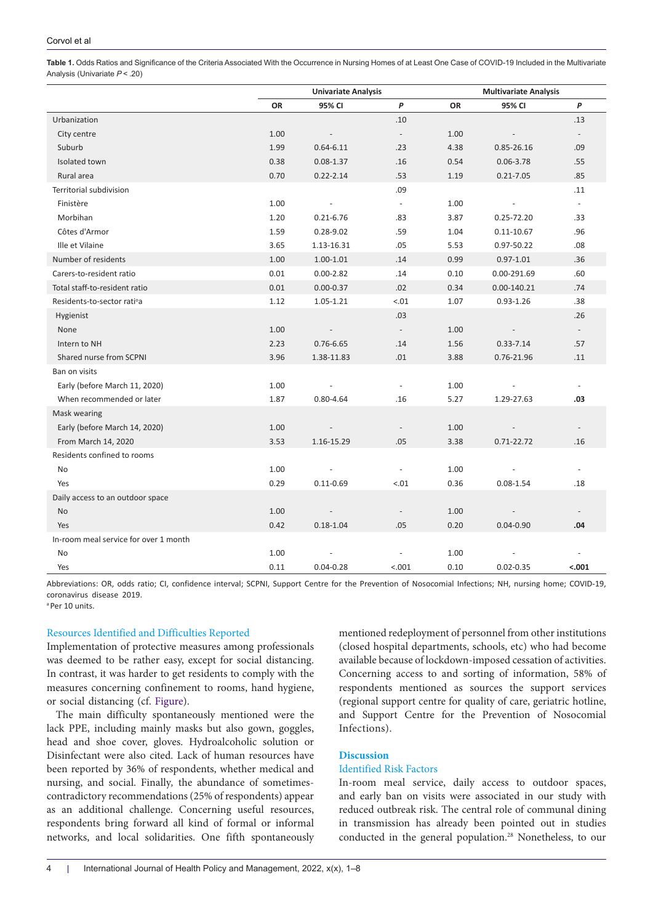<span id="page-3-0"></span>**Table 1.** Odds Ratios and Significance of the Criteria Associated With the Occurrence in Nursing Homes of at Least One Case of COVID-19 Included in the Multivariate Analysis (Univariate *P* < .20)

|                                       | <b>Univariate Analysis</b> |                          |                          | <b>Multivariate Analysis</b> |                |                          |  |
|---------------------------------------|----------------------------|--------------------------|--------------------------|------------------------------|----------------|--------------------------|--|
|                                       | OR                         | 95% CI                   | P                        | <b>OR</b>                    | 95% CI         | P                        |  |
| Urbanization                          |                            |                          | .10                      |                              |                | .13                      |  |
| City centre                           | 1.00                       |                          | $\overline{\phantom{a}}$ | 1.00                         |                |                          |  |
| Suburb                                | 1.99                       | $0.64 - 6.11$            | .23                      | 4.38                         | 0.85-26.16     | .09                      |  |
| Isolated town                         | 0.38                       | $0.08 - 1.37$            | .16                      | 0.54                         | $0.06 - 3.78$  | .55                      |  |
| Rural area                            | 0.70                       | $0.22 - 2.14$            | .53                      | 1.19                         | $0.21 - 7.05$  | .85                      |  |
| Territorial subdivision               |                            |                          | .09                      |                              |                | .11                      |  |
| Finistère                             | 1.00                       |                          | $\overline{\phantom{a}}$ | 1.00                         |                | $\equiv$                 |  |
| Morbihan                              | 1.20                       | $0.21 - 6.76$            | .83                      | 3.87                         | 0.25-72.20     | .33                      |  |
| Côtes d'Armor                         | 1.59                       | $0.28 - 9.02$            | .59                      | 1.04                         | $0.11 - 10.67$ | .96                      |  |
| Ille et Vilaine                       | 3.65                       | 1.13-16.31               | .05                      | 5.53                         | 0.97-50.22     | .08                      |  |
| Number of residents                   | 1.00                       | $1.00 - 1.01$            | .14                      | 0.99                         | $0.97 - 1.01$  | .36                      |  |
| Carers-to-resident ratio              | 0.01                       | $0.00 - 2.82$            | .14                      | 0.10                         | 0.00-291.69    | .60                      |  |
| Total staff-to-resident ratio         | 0.01                       | $0.00 - 0.37$            | .02                      | 0.34                         | 0.00-140.21    | .74                      |  |
| Residents-to-sector ratiºa            | 1.12                       | 1.05-1.21                | $-.01$                   | 1.07                         | $0.93 - 1.26$  | .38                      |  |
| Hygienist                             |                            |                          | .03                      |                              |                | .26                      |  |
| None                                  | 1.00                       | $\overline{\phantom{a}}$ | $\blacksquare$           | 1.00                         |                | $\sim$                   |  |
| Intern to NH                          | 2.23                       | $0.76 - 6.65$            | .14                      | 1.56                         | $0.33 - 7.14$  | .57                      |  |
| Shared nurse from SCPNI               | 3.96                       | 1.38-11.83               | .01                      | 3.88                         | 0.76-21.96     | .11                      |  |
| Ban on visits                         |                            |                          |                          |                              |                |                          |  |
| Early (before March 11, 2020)         | 1.00                       |                          | $\blacksquare$           | 1.00                         |                | $\overline{\phantom{a}}$ |  |
| When recommended or later             | 1.87                       | $0.80 - 4.64$            | .16                      | 5.27                         | 1.29-27.63     | .03                      |  |
| Mask wearing                          |                            |                          |                          |                              |                |                          |  |
| Early (before March 14, 2020)         | 1.00                       |                          | $\overline{\phantom{a}}$ | 1.00                         |                |                          |  |
| From March 14, 2020                   | 3.53                       | 1.16-15.29               | .05                      | 3.38                         | $0.71 - 22.72$ | .16                      |  |
| Residents confined to rooms           |                            |                          |                          |                              |                |                          |  |
| No                                    | 1.00                       |                          | ÷,                       | 1.00                         |                |                          |  |
| Yes                                   | 0.29                       | $0.11 - 0.69$            | $-.01$                   | 0.36                         | $0.08 - 1.54$  | .18                      |  |
| Daily access to an outdoor space      |                            |                          |                          |                              |                |                          |  |
| No                                    | 1.00                       |                          | $\overline{\phantom{a}}$ | 1.00                         |                |                          |  |
| Yes                                   | 0.42                       | $0.18 - 1.04$            | .05                      | 0.20                         | $0.04 - 0.90$  | .04                      |  |
| In-room meal service for over 1 month |                            |                          |                          |                              |                |                          |  |
| No                                    | 1.00                       |                          |                          | 1.00                         |                |                          |  |
| Yes                                   | 0.11                       | $0.04 - 0.28$            | < .001                   | 0.10                         | $0.02 - 0.35$  | $-.001$                  |  |

Abbreviations: OR, odds ratio; CI, confidence interval; SCPNI, Support Centre for the Prevention of Nosocomial Infections; NH, nursing home; COVID-19, coronavirus disease 2019.

a Per 10 units.

## Resources Identified and Difficulties Reported

Implementation of protective measures among professionals was deemed to be rather easy, except for social distancing. In contrast, it was harder to get residents to comply with the measures concerning confinement to rooms, hand hygiene, or social distancing (cf. [Figure](#page-4-1)).

The main difficulty spontaneously mentioned were the lack PPE, including mainly masks but also gown, goggles, head and shoe cover, gloves. Hydroalcoholic solution or Disinfectant were also cited. Lack of human resources have been reported by 36% of respondents, whether medical and nursing, and social. Finally*,* the abundance of sometimescontradictory recommendations (25% of respondents) appear as an additional challenge. Concerning useful resources, respondents bring forward all kind of formal or informal networks, and local solidarities. One fifth spontaneously

mentioned redeployment of personnel from other institutions (closed hospital departments, schools, etc) who had become available because of lockdown-imposed cessation of activities. Concerning access to and sorting of information, 58% of respondents mentioned as sources the support services (regional support centre for quality of care, geriatric hotline, and Support Centre for the Prevention of Nosocomial Infections).

# **Discussion**

#### Identified Risk Factors

In-room meal service, daily access to outdoor spaces, and early ban on visits were associated in our study with reduced outbreak risk. The central role of communal dining in transmission has already been pointed out in studies conducted in the general population. <sup>28</sup> Nonetheless, to our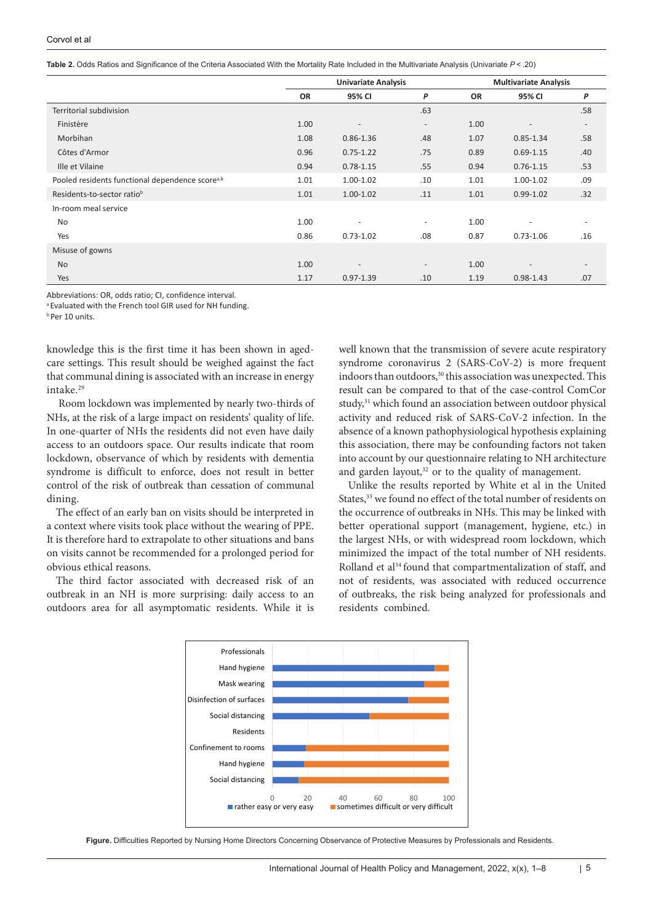<span id="page-4-0"></span>

| <b>Table 2.</b> Odds Ratios and Significance of the Criteria Associated With the Mortality Rate Included in the Multivariate Analysis (Univariate P< .20) |  |  |
|-----------------------------------------------------------------------------------------------------------------------------------------------------------|--|--|
|                                                                                                                                                           |  |  |

|                                                             | <b>Univariate Analysis</b> |                          |                          | <b>Multivariate Analysis</b> |                          |                          |
|-------------------------------------------------------------|----------------------------|--------------------------|--------------------------|------------------------------|--------------------------|--------------------------|
|                                                             | <b>OR</b>                  | 95% CI                   | P                        | <b>OR</b>                    | 95% CI                   | P                        |
| Territorial subdivision                                     |                            |                          | .63                      |                              |                          | .58                      |
| Finistère                                                   | 1.00                       | $\overline{\phantom{a}}$ | $\overline{\phantom{a}}$ | 1.00                         | $\overline{\phantom{a}}$ | $\overline{\phantom{a}}$ |
| Morbihan                                                    | 1.08                       | $0.86 - 1.36$            | .48                      | 1.07                         | $0.85 - 1.34$            | .58                      |
| Côtes d'Armor                                               | 0.96                       | $0.75 - 1.22$            | .75                      | 0.89                         | $0.69 - 1.15$            | .40                      |
| Ille et Vilaine                                             | 0.94                       | $0.78 - 1.15$            | .55                      | 0.94                         | $0.76 - 1.15$            | .53                      |
| Pooled residents functional dependence score <sup>a,b</sup> | 1.01                       | $1.00 - 1.02$            | .10                      | 1.01                         | 1.00-1.02                | .09                      |
| Residents-to-sector ratio <sup>b</sup>                      | 1.01                       | 1.00-1.02                | .11                      | 1.01                         | $0.99 - 1.02$            | .32                      |
| In-room meal service                                        |                            |                          |                          |                              |                          |                          |
| No                                                          | 1.00                       | $\overline{\phantom{a}}$ | $\overline{\phantom{a}}$ | 1.00                         | $\overline{\phantom{a}}$ | $\overline{\phantom{0}}$ |
| Yes                                                         | 0.86                       | $0.73 - 1.02$            | .08                      | 0.87                         | $0.73 - 1.06$            | .16                      |
| Misuse of gowns                                             |                            |                          |                          |                              |                          |                          |
| <b>No</b>                                                   | 1.00                       | $\qquad \qquad -$        | $\overline{\phantom{a}}$ | 1.00                         |                          | $\overline{\phantom{a}}$ |
| Yes                                                         | 1.17                       | $0.97 - 1.39$            | .10                      | 1.19                         | $0.98 - 1.43$            | .07                      |

Abbreviations: OR, odds ratio; CI, confidence interval.

<sup>a</sup> Evaluated with the French tool GIR used for NH funding.

**b** Per 10 units.

knowledge this is the first time it has been shown in agedcare settings. This result should be weighed against the fact that communal dining is associated with an increase in energy intake. 29

Room lockdown was implemented by nearly two-thirds of NHs, at the risk of a large impact on residents' quality of life. In one-quarter of NHs the residents did not even have daily access to an outdoors space. Our results indicate that room lockdown, observance of which by residents with dementia syndrome is difficult to enforce, does not result in better control of the risk of outbreak than cessation of communal dining.

The effect of an early ban on visits should be interpreted in a context where visits took place without the wearing of PPE. It is therefore hard to extrapolate to other situations and bans on visits cannot be recommended for a prolonged period for obvious ethical reasons.

The third factor associated with decreased risk of an outbreak in an NH is more surprising: daily access to an outdoors area for all asymptomatic residents. While it is

well known that the transmission of severe acute respiratory syndrome coronavirus 2 (SARS-CoV-2) is more frequent indoors than outdoors,<sup>30</sup> this association was unexpected. This result can be compared to that of the case-control ComCor study, <sup>31</sup> which found an association between outdoor physical activity and reduced risk of SARS-CoV-2 infection. In the absence of a known pathophysiological hypothesis explaining this association, there may be confounding factors not taken into account by our questionnaire relating to NH architecture and garden layout, <sup>32</sup> or to the quality of management.

Unlike the results reported by White et al in the United States, <sup>33</sup> we found no effect of the total number of residents on the occurrence of outbreaks in NHs. This may be linked with better operational support (management, hygiene, etc.) in the largest NHs, or with widespread room lockdown, which minimized the impact of the total number of NH residents. Rolland et al<sup>34</sup> found that compartmentalization of staff, and not of residents, was associated with reduced occurrence of outbreaks, the risk being analyzed for professionals and residents combined.

<span id="page-4-1"></span>

**Figure.** Difficulties Reported by Nursing Home Directors Concerning Observance of Protective Measures by Professionals and Residents.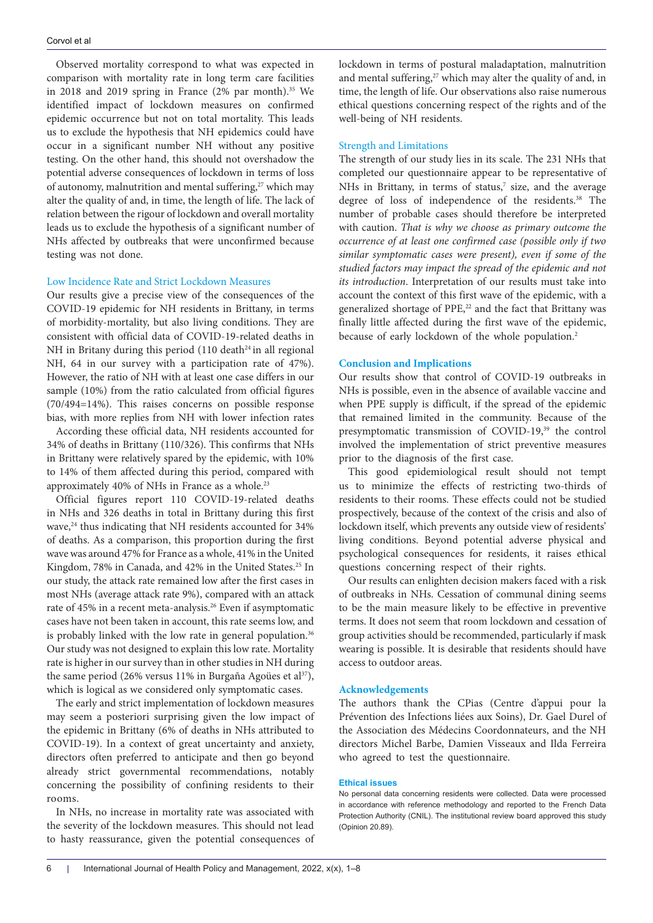Observed mortality correspond to what was expected in comparison with mortality rate in long term care facilities in 2018 and 2019 spring in France  $(2\%$  par month).<sup>35</sup> We identified impact of lockdown measures on confirmed epidemic occurrence but not on total mortality. This leads us to exclude the hypothesis that NH epidemics could have occur in a significant number NH without any positive testing. On the other hand, this should not overshadow the potential adverse consequences of lockdown in terms of loss of autonomy, malnutrition and mental suffering,<sup>27</sup> which may alter the quality of and, in time, the length of life. The lack of relation between the rigour of lockdown and overall mortality leads us to exclude the hypothesis of a significant number of NHs affected by outbreaks that were unconfirmed because testing was not done.

# Low Incidence Rate and Strict Lockdown Measures

Our results give a precise view of the consequences of the COVID-19 epidemic for NH residents in Brittany, in terms of morbidity-mortality, but also living conditions. They are consistent with official data of COVID-19-related deaths in NH in Britany during this period  $(110 \text{ death}^{24})$  in all regional NH, 64 in our survey with a participation rate of 47%). However, the ratio of NH with at least one case differs in our sample (10%) from the ratio calculated from official figures (70/494=14%). This raises concerns on possible response bias, with more replies from NH with lower infection rates

According these official data, NH residents accounted for 34% of deaths in Brittany (110/326). This confirms that NHs in Brittany were relatively spared by the epidemic, with 10% to 14% of them affected during this period, compared with approximately 40% of NHs in France as a whole. 23

Official figures report 110 COVID-19-related deaths in NHs and 326 deaths in total in Brittany during this first wave, <sup>24</sup> thus indicating that NH residents accounted for 34% of deaths. As a comparison, this proportion during the first wave was around 47% for France as a whole, 41% in the United Kingdom, 78% in Canada, and 42% in the United States. <sup>25</sup> In our study, the attack rate remained low after the first cases in most NHs (average attack rate 9%), compared with an attack rate of 45% in a recent meta-analysis. <sup>26</sup> Even if asymptomatic cases have not been taken in account, this rate seems low, and is probably linked with the low rate in general population. $^{36}$ Our study was not designed to explain this low rate. Mortality rate is higher in our survey than in other studies in NH during the same period (26% versus 11% in Burgaña Agoües et al<sup>37</sup>), which is logical as we considered only symptomatic cases.

The early and strict implementation of lockdown measures may seem a posteriori surprising given the low impact of the epidemic in Brittany (6% of deaths in NHs attributed to COVID-19). In a context of great uncertainty and anxiety, directors often preferred to anticipate and then go beyond already strict governmental recommendations, notably concerning the possibility of confining residents to their rooms.

In NHs, no increase in mortality rate was associated with the severity of the lockdown measures. This should not lead to hasty reassurance, given the potential consequences of lockdown in terms of postural maladaptation, malnutrition and mental suffering, <sup>27</sup> which may alter the quality of and, in time, the length of life. Our observations also raise numerous ethical questions concerning respect of the rights and of the well-being of NH residents.

#### Strength and Limitations

The strength of our study lies in its scale. The 231 NHs that completed our questionnaire appear to be representative of NHs in Brittany, in terms of status, <sup>7</sup> size, and the average degree of loss of independence of the residents. <sup>38</sup> The number of probable cases should therefore be interpreted with caution. *That is why we choose as primary outcome the occurrence of at least one confirmed case (possible only if two similar symptomatic cases were present), even if some of the studied factors may impact the spread of the epidemic and not its introduction*. Interpretation of our results must take into account the context of this first wave of the epidemic, with a generalized shortage of PPE, <sup>22</sup> and the fact that Brittany was finally little affected during the first wave of the epidemic, because of early lockdown of the whole population.<sup>2</sup>

#### **Conclusion and Implications**

Our results show that control of COVID-19 outbreaks in NHs is possible, even in the absence of available vaccine and when PPE supply is difficult, if the spread of the epidemic that remained limited in the community. Because of the presymptomatic transmission of COVID-19,<sup>39</sup> the control involved the implementation of strict preventive measures prior to the diagnosis of the first case.

This good epidemiological result should not tempt us to minimize the effects of restricting two-thirds of residents to their rooms. These effects could not be studied prospectively, because of the context of the crisis and also of lockdown itself, which prevents any outside view of residents' living conditions. Beyond potential adverse physical and psychological consequences for residents, it raises ethical questions concerning respect of their rights.

Our results can enlighten decision makers faced with a risk of outbreaks in NHs. Cessation of communal dining seems to be the main measure likely to be effective in preventive terms. It does not seem that room lockdown and cessation of group activities should be recommended, particularly if mask wearing is possible. It is desirable that residents should have access to outdoor areas.

## **Acknowledgements**

The authors thank the CPias (Centre d'appui pour la Prévention des Infections liées aux Soins), Dr. Gael Durel of the Association des Médecins Coordonnateurs, and the NH directors Michel Barbe, Damien Visseaux and Ilda Ferreira who agreed to test the questionnaire.

#### **Ethical issues**

No personal data concerning residents were collected. Data were processed in accordance with reference methodology and reported to the French Data Protection Authority (CNIL). The institutional review board approved this study (Opinion 20.89).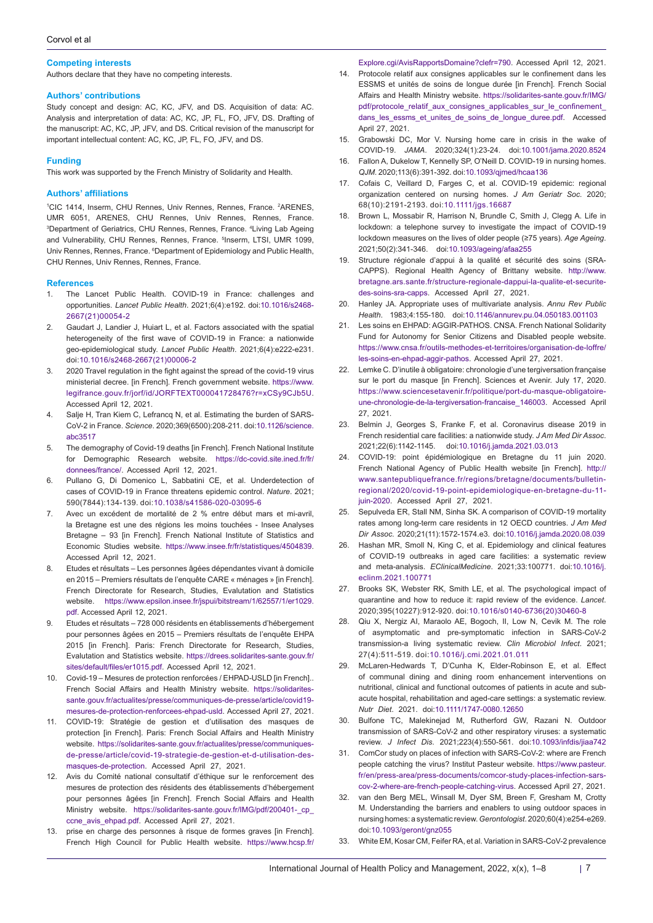#### **Competing interests**

Authors declare that they have no competing interests.

#### **Authors' contributions**

Study concept and design: AC, KC, JFV, and DS. Acquisition of data: AC. Analysis and interpretation of data: AC, KC, JP, FL, FO, JFV, DS. Drafting of the manuscript: AC, KC, JP, JFV, and DS. Critical revision of the manuscript for important intellectual content: AC, KC, JP, FL, FO, JFV, and DS.

#### **Funding**

This work was supported by the French Ministry of Solidarity and Health.

#### **Authors' affiliations**

<sup>1</sup>CIC 1414, Inserm, CHU Rennes, Univ Rennes, Rennes, France. <sup>2</sup>ARENES, UMR 6051, ARENES, CHU Rennes, Univ Rennes, Rennes, France. 3 Department of Geriatrics, CHU Rennes, Rennes, France. 4 Living Lab Ageing and Vulnerability, CHU Rennes, Rennes, France. <sup>5</sup>Inserm, LTSI, UMR 1099, Univ Rennes, Rennes, France.  $^6$ Department of Epidemiology and Public Health, CHU Rennes, Univ Rennes, Rennes, France.

#### **References**

- The Lancet Public Health. COVID-19 in France: challenges and opportunities. *Lancet Public Health*. 2021;6(4):e192. doi:[10.1016/s2468-](https://doi.org/10.1016/s2468-2667(21)00054-2) [2667\(21\)00054-2](https://doi.org/10.1016/s2468-2667(21)00054-2)
- 2. Gaudart J, Landier J, Huiart L, et al. Factors associated with the spatial heterogeneity of the first wave of COVID-19 in France: a nationwide geo-epidemiological study. *Lancet Public Health*. 2021;6(4):e222-e231. doi[:10.1016/s2468-2667\(21\)00006-2](https://doi.org/10.1016/s2468-2667(21)00006-2)
- 3. 2020 Travel regulation in the fight against the spread of the covid-19 virus ministerial decree. [in French]. French government website. [https://www.](https://www.legifrance.gouv.fr/jorf/id/JORFTEXT000041728476?r=xCSy9CJb5U) [legifrance.gouv.fr/jorf/id/JORFTEXT000041728476?r=xCSy9CJb5U](https://www.legifrance.gouv.fr/jorf/id/JORFTEXT000041728476?r=xCSy9CJb5U). Accessed April 12, 2021.
- 4. Salje H, Tran Kiem C, Lefrancq N, et al. Estimating the burden of SARS-CoV-2 in France. *Science*. 2020;369(6500):208-211. doi:[10.1126/science.](https://doi.org/10.1126/science.abc3517) [abc3517](https://doi.org/10.1126/science.abc3517)
- 5. The demography of Covid-19 deaths [in French]. French National Institute for Demographic Research website. [https://dc-covid.site.ined.fr/fr/](https://dc-covid.site.ined.fr/fr/donnees/france/) [donnees/france/.](https://dc-covid.site.ined.fr/fr/donnees/france/) Accessed April 12, 2021.
- 6. Pullano G, Di Domenico L, Sabbatini CE, et al. Underdetection of cases of COVID-19 in France threatens epidemic control. *Nature*. 2021; 590(7844):134-139. doi:[10.1038/s41586-020-03095-6](https://doi.org/10.1038/s41586-020-03095-6)
- 7. Avec un excédent de mortalité de 2 % entre début mars et mi-avril, la Bretagne est une des régions les moins touchées - Insee Analyses Bretagne – 93 [in French]. French National Institute of Statistics and Economic Studies website. <https://www.insee.fr/fr/statistiques/4504839>. Accessed April 12, 2021.
- 8. Etudes et résultats Les personnes âgées dépendantes vivant à domicile en 2015 – Premiers résultats de l'enquête CARE « ménages » [in French]. French Directorate for Research, Studies, Evalutation and Statistics website. [https://www.epsilon.insee.fr/jspui/bitstream/1/62557/1/er1029.](https://www.epsilon.insee.fr/jspui/bitstream/1/62557/1/er1029.pdf) [pdf](https://www.epsilon.insee.fr/jspui/bitstream/1/62557/1/er1029.pdf). Accessed April 12, 2021.
- 9. Etudes et résultats 728 000 résidents en établissements d'hébergement pour personnes âgées en 2015 – Premiers résultats de l'enquête EHPA 2015 [in French]. Paris: French Directorate for Research, Studies, Evalutation and Statistics website. [https://drees.solidarites-sante.gouv.fr/](https://drees.solidarites-sante.gouv.fr/sites/default/files/er1015.pdf) [sites/default/files/er1015.pdf.](https://drees.solidarites-sante.gouv.fr/sites/default/files/er1015.pdf) Accessed April 12, 2021.
- 10. Covid-19 Mesures de protection renforcées / EHPAD-USLD [in French].. French Social Affairs and Health Ministry website. [https://solidarites](https://solidarites-sante.gouv.fr/actualites/presse/communiques-de-presse/article/covid19-mesures-de-protection-renforcees-ehpad-usld)[sante.gouv.fr/actualites/presse/communiques-de-presse/article/covid19](https://solidarites-sante.gouv.fr/actualites/presse/communiques-de-presse/article/covid19-mesures-de-protection-renforcees-ehpad-usld) [mesures-de-protection-renforcees-ehpad-usld.](https://solidarites-sante.gouv.fr/actualites/presse/communiques-de-presse/article/covid19-mesures-de-protection-renforcees-ehpad-usld) Accessed April 27, 2021.
- 11. COVID-19: Stratégie de gestion et d'utilisation des masques de protection [in French]. Paris: French Social Affairs and Health Ministry website. [https://solidarites-sante.gouv.fr/actualites/presse/communiques](https://solidarites-sante.gouv.fr/actualites/presse/communiques-de-presse/article/covid-19-strategie-de-gestion-et-d-utilisation-des-masques-de-protection)[de-presse/article/covid-19-strategie-de-gestion-et-d-utilisation-des](https://solidarites-sante.gouv.fr/actualites/presse/communiques-de-presse/article/covid-19-strategie-de-gestion-et-d-utilisation-des-masques-de-protection)[masques-de-protection](https://solidarites-sante.gouv.fr/actualites/presse/communiques-de-presse/article/covid-19-strategie-de-gestion-et-d-utilisation-des-masques-de-protection). Accessed April 27, 2021.
- 12. Avis du Comité national consultatif d'éthique sur le renforcement des mesures de protection des résidents des établissements d'hébergement pour personnes âgées [in French]. French Social Affairs and Health Ministry website. [https://solidarites-sante.gouv.fr/IMG/pdf/200401-\\_cp\\_](https://solidarites-sante.gouv.fr/IMG/pdf/200401-_cp_ccne_avis_ehpad.pdf) [ccne\\_avis\\_ehpad.pdf.](https://solidarites-sante.gouv.fr/IMG/pdf/200401-_cp_ccne_avis_ehpad.pdf) Accessed April 27, 2021.
- 13. prise en charge des personnes à risque de formes graves [in French]. French High Council for Public Health website. [https://www.hcsp.fr/](https://www.hcsp.fr/Explore.cgi/AvisRapportsDomaine?clefr=790)

[Explore.cgi/AvisRapportsDomaine?clefr=790.](https://www.hcsp.fr/Explore.cgi/AvisRapportsDomaine?clefr=790) Accessed April 12, 2021.

- 14. Protocole relatif aux consignes applicables sur le confinement dans les ESSMS et unités de soins de longue durée [in French]. French Social Affairs and Health Ministry website. [https://solidarites-sante.gouv.fr/IMG/](https://solidarites-sante.gouv.fr/IMG/pdf/protocole_relatif_aux_consignes_applicables_sur_le_confinement_dans_les_essms_et_unites_de_soins_de_longue_duree.pdf) [pdf/protocole\\_relatif\\_aux\\_consignes\\_applicables\\_sur\\_le\\_confinement\\_](https://solidarites-sante.gouv.fr/IMG/pdf/protocole_relatif_aux_consignes_applicables_sur_le_confinement_dans_les_essms_et_unites_de_soins_de_longue_duree.pdf) dans les essms et unites de soins de longue duree.pdf. Accessed April 27, 2021.
- 15. Grabowski DC, Mor V. Nursing home care in crisis in the wake of COVID-19. *JAMA*. 2020;324(1):23-24. doi[:10.1001/jama.2020.8524](https://doi.org/10.1001/jama.2020.8524)
- 16. Fallon A, Dukelow T, Kennelly SP, O'Neill D. COVID-19 in nursing homes. *QJM*. 2020;113(6):391-392. doi[:10.1093/qjmed/hcaa136](https://doi.org/10.1093/qjmed/hcaa136)
- 17. Cofais C, Veillard D, Farges C, et al. COVID-19 epidemic: regional organization centered on nursing homes. *J Am Geriatr Soc*. 2020; 68(10):2191-2193. doi:[10.1111/jgs.16687](https://doi.org/10.1111/jgs.16687)
- 18. Brown L, Mossabir R, Harrison N, Brundle C, Smith J, Clegg A. Life in lockdown: a telephone survey to investigate the impact of COVID-19 lockdown measures on the lives of older people (≥75 years). *Age Ageing*. 2021;50(2):341-346. doi[:10.1093/ageing/afaa255](https://doi.org/10.1093/ageing/afaa255)
- 19. Structure régionale d'appui à la qualité et sécurité des soins (SRA-CAPPS). Regional Health Agency of Brittany website. [http://www.](http://www.bretagne.ars.sante.fr/structure-regionale-dappui-la-qualite-et-securite-des-soins-sra-capps) [bretagne.ars.sante.fr/structure-regionale-dappui-la-qualite-et-securite](http://www.bretagne.ars.sante.fr/structure-regionale-dappui-la-qualite-et-securite-des-soins-sra-capps)[des-soins-sra-capps](http://www.bretagne.ars.sante.fr/structure-regionale-dappui-la-qualite-et-securite-des-soins-sra-capps). Accessed April 27, 2021.
- 20. Hanley JA. Appropriate uses of multivariate analysis. *Annu Rev Public Health*. 1983;4:155-180. doi[:10.1146/annurev.pu.04.050183.001103](https://doi.org/10.1146/annurev.pu.04.050183.001103)
- 21. Les soins en EHPAD: AGGIR-PATHOS. CNSA. French National Solidarity Fund for Autonomy for Senior Citizens and Disabled people website. [https://www.cnsa.fr/outils-methodes-et-territoires/organisation-de-loffre/](https://www.cnsa.fr/outils-methodes-et-territoires/organisation-de-loffre/les-soins-en-ehpad-aggir-pathos) [les-soins-en-ehpad-aggir-pathos.](https://www.cnsa.fr/outils-methodes-et-territoires/organisation-de-loffre/les-soins-en-ehpad-aggir-pathos) Accessed April 27, 2021.
- 22. Lemke C. D'inutile à obligatoire: chronologie d'une tergiversation française sur le port du masque [in French]. Sciences et Avenir. July 17, 2020. [https://www.sciencesetavenir.fr/politique/port-du-masque-obligatoire](https://www.sciencesetavenir.fr/politique/port-du-masque-obligatoire-une-chronologie-de-la-tergiversation-francaise_146003)[une-chronologie-de-la-tergiversation-francaise\\_146003](https://www.sciencesetavenir.fr/politique/port-du-masque-obligatoire-une-chronologie-de-la-tergiversation-francaise_146003). Accessed April 27, 2021.
- 23. Belmin J, Georges S, Franke F, et al. Coronavirus disease 2019 in French residential care facilities: a nationwide study. *J Am Med Dir Assoc*. 2021;22(6):1142-1145. doi[:10.1016/j.jamda.2021.03.013](https://doi.org/10.1016/j.jamda.2021.03.013)
- 24. COVID-19: point épidémiologique en Bretagne du 11 juin 2020. French National Agency of Public Health website [in French]. [http://](http://www.santepubliquefrance.fr/regions/bretagne/documents/bulletin-regional/2020/covid-19-point-epidemiologique-en-bretagne-du-11-juin-2020) [www.santepubliquefrance.fr/regions/bretagne/documents/bulletin](http://www.santepubliquefrance.fr/regions/bretagne/documents/bulletin-regional/2020/covid-19-point-epidemiologique-en-bretagne-du-11-juin-2020)[regional/2020/covid-19-point-epidemiologique-en-bretagne-du-11](http://www.santepubliquefrance.fr/regions/bretagne/documents/bulletin-regional/2020/covid-19-point-epidemiologique-en-bretagne-du-11-juin-2020) [juin-2020.](http://www.santepubliquefrance.fr/regions/bretagne/documents/bulletin-regional/2020/covid-19-point-epidemiologique-en-bretagne-du-11-juin-2020) Accessed April 27, 2021.
- 25. Sepulveda ER, Stall NM, Sinha SK. A comparison of COVID-19 mortality rates among long-term care residents in 12 OECD countries. *J Am Med Dir Assoc*. 2020;21(11):1572-1574.e3. doi[:10.1016/j.jamda.2020.08.039](https://doi.org/10.1016/j.jamda.2020.08.039)
- 26. Hashan MR, Smoll N, King C, et al. Epidemiology and clinical features of COVID-19 outbreaks in aged care facilities: a systematic review and meta-analysis. *EClinicalMedicine*. 2021;33:100771. doi[:10.1016/j.](https://doi.org/10.1016/j.eclinm.2021.100771) [eclinm.2021.100771](https://doi.org/10.1016/j.eclinm.2021.100771)
- 27. Brooks SK, Webster RK, Smith LE, et al. The psychological impact of quarantine and how to reduce it: rapid review of the evidence. *Lancet*. 2020;395(10227):912-920. doi:[10.1016/s0140-6736\(20\)30460-8](https://doi.org/10.1016/s0140-6736(20)30460-8)
- 28. Qiu X, Nergiz AI, Maraolo AE, Bogoch, II, Low N, Cevik M. The role of asymptomatic and pre-symptomatic infection in SARS-CoV-2 transmission-a living systematic review. *Clin Microbiol Infect*. 2021; 27(4):511-519. doi:[10.1016/j.cmi.2021.01.011](https://doi.org/10.1016/j.cmi.2021.01.011)
- 29. McLaren-Hedwards T, D'Cunha K, Elder-Robinson E, et al. Effect of communal dining and dining room enhancement interventions on nutritional, clinical and functional outcomes of patients in acute and subacute hospital, rehabilitation and aged-care settings: a systematic review. *Nutr Diet*. 2021. doi:[10.1111/1747-0080.12650](https://doi.org/10.1111/1747-0080.12650)
- 30. Bulfone TC, Malekinejad M, Rutherford GW, Razani N. Outdoor transmission of SARS-CoV-2 and other respiratory viruses: a systematic review. *J Infect Dis*. 2021;223(4):550-561. doi:[10.1093/infdis/jiaa742](https://doi.org/10.1093/infdis/jiaa742)
- 31. ComCor study on places of infection with SARS-CoV-2: where are French people catching the virus? Institut Pasteur website. [https://www.pasteur.](https://www.pasteur.fr/en/press-area/press-documents/comcor-study-places-infection-sars-cov-2-where-are-french-people-catching-virus) [fr/en/press-area/press-documents/comcor-study-places-infection-sars](https://www.pasteur.fr/en/press-area/press-documents/comcor-study-places-infection-sars-cov-2-where-are-french-people-catching-virus)[cov-2-where-are-french-people-catching-virus.](https://www.pasteur.fr/en/press-area/press-documents/comcor-study-places-infection-sars-cov-2-where-are-french-people-catching-virus) Accessed April 27, 2021.
- 32. van den Berg MEL, Winsall M, Dyer SM, Breen F, Gresham M, Crotty M. Understanding the barriers and enablers to using outdoor spaces in nursing homes: a systematic review. *Gerontologist*. 2020;60(4):e254-e269. doi:[10.1093/geront/gnz055](https://doi.org/10.1093/geront/gnz055)
- 33. White EM, Kosar CM, Feifer RA, et al. Variation in SARS-CoV-2 prevalence